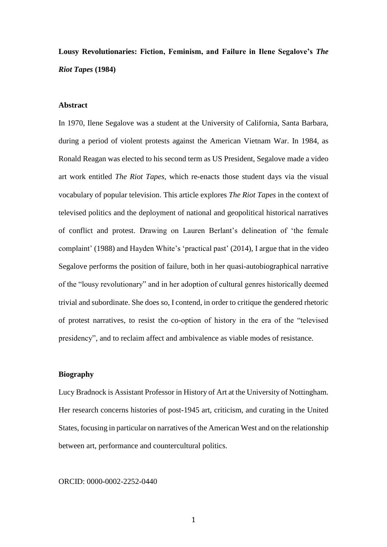# **Lousy Revolutionaries: Fiction, Feminism, and Failure in Ilene Segalove's** *The Riot Tapes* **(1984)**

### **Abstract**

In 1970, Ilene Segalove was a student at the University of California, Santa Barbara, during a period of violent protests against the American Vietnam War. In 1984, as Ronald Reagan was elected to his second term as US President, Segalove made a video art work entitled *The Riot Tapes*, which re-enacts those student days via the visual vocabulary of popular television. This article explores *The Riot Tapes* in the context of televised politics and the deployment of national and geopolitical historical narratives of conflict and protest. Drawing on Lauren Berlant's delineation of 'the female complaint' (1988) and Hayden White's 'practical past' (2014), I argue that in the video Segalove performs the position of failure, both in her quasi-autobiographical narrative of the "lousy revolutionary" and in her adoption of cultural genres historically deemed trivial and subordinate. She does so, I contend, in order to critique the gendered rhetoric of protest narratives, to resist the co-option of history in the era of the "televised presidency", and to reclaim affect and ambivalence as viable modes of resistance.

## **Biography**

Lucy Bradnock is Assistant Professor in History of Art at the University of Nottingham. Her research concerns histories of post-1945 art, criticism, and curating in the United States, focusing in particular on narratives of the American West and on the relationship between art, performance and countercultural politics.

#### ORCID: 0000-0002-2252-0440

1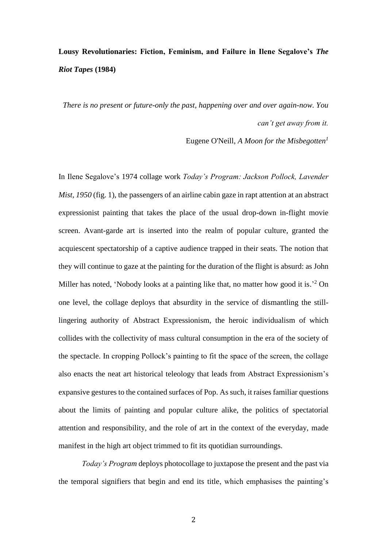# **Lousy Revolutionaries: Fiction, Feminism, and Failure in Ilene Segalove's** *The Riot Tapes* **(1984)**

*There is no present or future-only the past, happening over and over again-now. You can't get away from it.*

Eugene O'Neill, *A Moon for the Misbegotten<sup>1</sup>*

In Ilene Segalove's 1974 collage work *Today's Program: Jackson Pollock, Lavender Mist, 1950* (fig. 1), the passengers of an airline cabin gaze in rapt attention at an abstract expressionist painting that takes the place of the usual drop-down in-flight movie screen. Avant-garde art is inserted into the realm of popular culture, granted the acquiescent spectatorship of a captive audience trapped in their seats. The notion that they will continue to gaze at the painting for the duration of the flight is absurd: as John Miller has noted, 'Nobody looks at a painting like that, no matter how good it is.<sup>2</sup> On one level, the collage deploys that absurdity in the service of dismantling the stilllingering authority of Abstract Expressionism, the heroic individualism of which collides with the collectivity of mass cultural consumption in the era of the society of the spectacle. In cropping Pollock's painting to fit the space of the screen, the collage also enacts the neat art historical teleology that leads from Abstract Expressionism's expansive gestures to the contained surfaces of Pop. As such, it raises familiar questions about the limits of painting and popular culture alike, the politics of spectatorial attention and responsibility, and the role of art in the context of the everyday, made manifest in the high art object trimmed to fit its quotidian surroundings.

*Today's Program* deploys photocollage to juxtapose the present and the past via the temporal signifiers that begin and end its title, which emphasises the painting's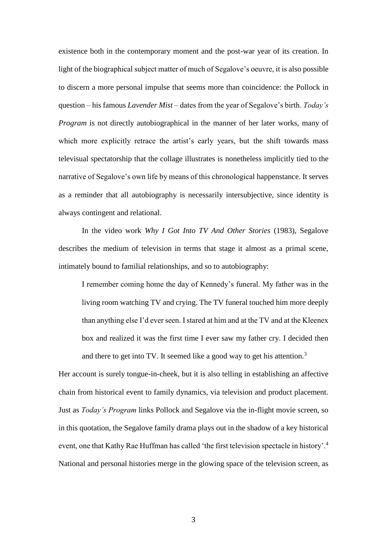existence both in the contemporary moment and the post-war year of its creation. In light of the biographical subject matter of much of Segalove's oeuvre, it is also possible to discern a more personal impulse that seems more than coincidence: the Pollock in question – his famous *Lavender Mist* – dates from the year of Segalove's birth. *Today's Program* is not directly autobiographical in the manner of her later works, many of which more explicitly retrace the artist's early years, but the shift towards mass televisual spectatorship that the collage illustrates is nonetheless implicitly tied to the narrative of Segalove's own life by means of this chronological happenstance. It serves as a reminder that all autobiography is necessarily intersubjective, since identity is always contingent and relational.

In the video work *Why I Got Into TV And Other Stories* (1983), Segalove describes the medium of television in terms that stage it almost as a primal scene, intimately bound to familial relationships, and so to autobiography:

I remember coming home the day of Kennedy's funeral. My father was in the living room watching TV and crying. The TV funeral touched him more deeply than anything else I'd ever seen. I stared at him and at the TV and at the Kleenex box and realized it was the first time I ever saw my father cry. I decided then and there to get into TV. It seemed like a good way to get his attention.<sup>3</sup>

Her account is surely tongue-in-cheek, but it is also telling in establishing an affective chain from historical event to family dynamics, via television and product placement. Just as *Today's Program* links Pollock and Segalove via the in-flight movie screen, so in this quotation, the Segalove family drama plays out in the shadow of a key historical event, one that Kathy Rae Huffman has called 'the first television spectacle in history'.<sup>4</sup> National and personal histories merge in the glowing space of the television screen, as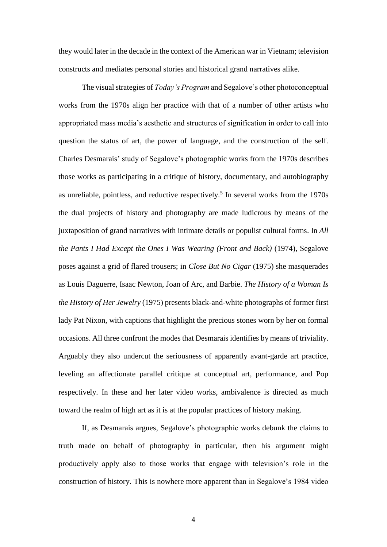they would later in the decade in the context of the American war in Vietnam; television constructs and mediates personal stories and historical grand narratives alike.

The visual strategies of *Today's Program* and Segalove's other photoconceptual works from the 1970s align her practice with that of a number of other artists who appropriated mass media's aesthetic and structures of signification in order to call into question the status of art, the power of language, and the construction of the self. Charles Desmarais' study of Segalove's photographic works from the 1970s describes those works as participating in a critique of history, documentary, and autobiography as unreliable, pointless, and reductive respectively. 5 In several works from the 1970s the dual projects of history and photography are made ludicrous by means of the juxtaposition of grand narratives with intimate details or populist cultural forms. In *All the Pants I Had Except the Ones I Was Wearing (Front and Back)* (1974), Segalove poses against a grid of flared trousers; in *Close But No Cigar* (1975) she masquerades as Louis Daguerre, Isaac Newton, Joan of Arc, and Barbie. *The History of a Woman Is the History of Her Jewelry* (1975) presents black-and-white photographs of former first lady Pat Nixon, with captions that highlight the precious stones worn by her on formal occasions. All three confront the modes that Desmarais identifies by means of triviality. Arguably they also undercut the seriousness of apparently avant-garde art practice, leveling an affectionate parallel critique at conceptual art, performance, and Pop respectively. In these and her later video works, ambivalence is directed as much toward the realm of high art as it is at the popular practices of history making.

If, as Desmarais argues, Segalove's photographic works debunk the claims to truth made on behalf of photography in particular, then his argument might productively apply also to those works that engage with television's role in the construction of history. This is nowhere more apparent than in Segalove's 1984 video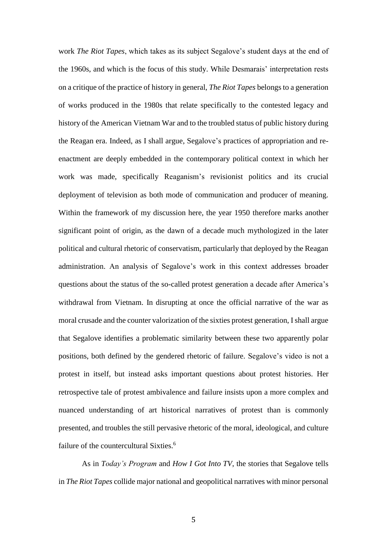work *The Riot Tapes*, which takes as its subject Segalove's student days at the end of the 1960s, and which is the focus of this study. While Desmarais' interpretation rests on a critique of the practice of history in general, *The Riot Tapes* belongs to a generation of works produced in the 1980s that relate specifically to the contested legacy and history of the American Vietnam War and to the troubled status of public history during the Reagan era. Indeed, as I shall argue, Segalove's practices of appropriation and reenactment are deeply embedded in the contemporary political context in which her work was made, specifically Reaganism's revisionist politics and its crucial deployment of television as both mode of communication and producer of meaning. Within the framework of my discussion here, the year 1950 therefore marks another significant point of origin, as the dawn of a decade much mythologized in the later political and cultural rhetoric of conservatism, particularly that deployed by the Reagan administration. An analysis of Segalove's work in this context addresses broader questions about the status of the so-called protest generation a decade after America's withdrawal from Vietnam. In disrupting at once the official narrative of the war as moral crusade and the counter valorization of the sixties protest generation, I shall argue that Segalove identifies a problematic similarity between these two apparently polar positions, both defined by the gendered rhetoric of failure. Segalove's video is not a protest in itself, but instead asks important questions about protest histories. Her retrospective tale of protest ambivalence and failure insists upon a more complex and nuanced understanding of art historical narratives of protest than is commonly presented, and troubles the still pervasive rhetoric of the moral, ideological, and culture failure of the countercultural Sixties.<sup>6</sup>

As in *Today's Program* and *How I Got Into TV*, the stories that Segalove tells in *The Riot Tapes* collide major national and geopolitical narratives with minor personal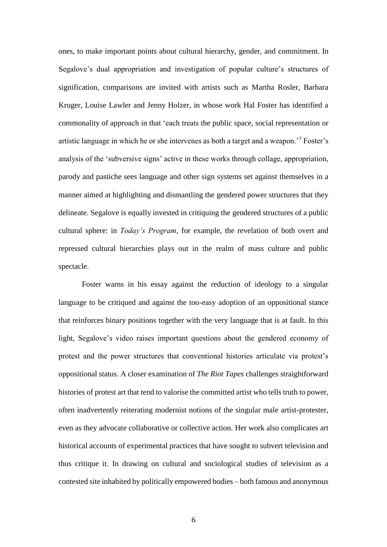ones, to make important points about cultural hierarchy, gender, and commitment. In Segalove's dual appropriation and investigation of popular culture's structures of signification, comparisons are invited with artists such as Martha Rosler, Barbara Kruger, Louise Lawler and Jenny Holzer, in whose work Hal Foster has identified a commonality of approach in that 'each treats the public space, social representation or artistic language in which he or she intervenes as both a target and a weapon.'<sup>7</sup> Foster's analysis of the 'subversive signs' active in these works through collage, appropriation, parody and pastiche sees language and other sign systems set against themselves in a manner aimed at highlighting and dismantling the gendered power structures that they delineate. Segalove is equally invested in critiquing the gendered structures of a public cultural sphere: in *Today's Program*, for example, the revelation of both overt and repressed cultural hierarchies plays out in the realm of mass culture and public spectacle.

Foster warns in his essay against the reduction of ideology to a singular language to be critiqued and against the too-easy adoption of an oppositional stance that reinforces binary positions together with the very language that is at fault. In this light, Segalove's video raises important questions about the gendered economy of protest and the power structures that conventional histories articulate via protest's oppositional status. A closer examination of *The Riot Tapes* challenges straightforward histories of protest art that tend to valorise the committed artist who tells truth to power, often inadvertently reiterating modernist notions of the singular male artist-protester, even as they advocate collaborative or collective action. Her work also complicates art historical accounts of experimental practices that have sought to subvert television and thus critique it. In drawing on cultural and sociological studies of television as a contested site inhabited by politically empowered bodies – both famous and anonymous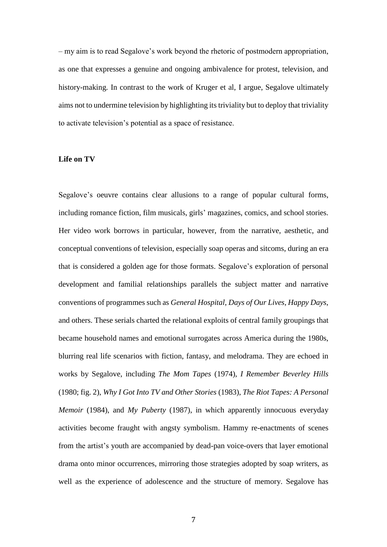– my aim is to read Segalove's work beyond the rhetoric of postmodern appropriation, as one that expresses a genuine and ongoing ambivalence for protest, television, and history-making. In contrast to the work of Kruger et al, I argue, Segalove ultimately aims not to undermine television by highlighting its triviality but to deploy that triviality to activate television's potential as a space of resistance.

## **Life on TV**

Segalove's oeuvre contains clear allusions to a range of popular cultural forms, including romance fiction, film musicals, girls' magazines, comics, and school stories. Her video work borrows in particular, however, from the narrative, aesthetic, and conceptual conventions of television, especially soap operas and sitcoms, during an era that is considered a golden age for those formats. Segalove's exploration of personal development and familial relationships parallels the subject matter and narrative conventions of programmes such as *General Hospital*, *Days of Our Lives*, *Happy Days*, and others. These serials charted the relational exploits of central family groupings that became household names and emotional surrogates across America during the 1980s, blurring real life scenarios with fiction, fantasy, and melodrama. They are echoed in works by Segalove, including *The Mom Tapes* (1974), *I Remember Beverley Hills* (1980; fig. 2), *Why I Got Into TV and Other Stories* (1983), *The Riot Tapes: A Personal Memoir* (1984), and *My Puberty* (1987), in which apparently innocuous everyday activities become fraught with angsty symbolism. Hammy re-enactments of scenes from the artist's youth are accompanied by dead-pan voice-overs that layer emotional drama onto minor occurrences, mirroring those strategies adopted by soap writers, as well as the experience of adolescence and the structure of memory. Segalove has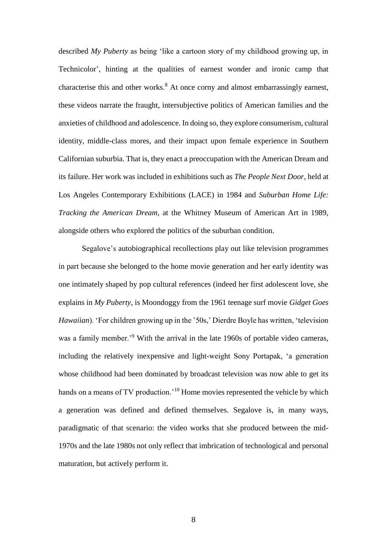described *My Puberty* as being 'like a cartoon story of my childhood growing up, in Technicolor', hinting at the qualities of earnest wonder and ironic camp that characterise this and other works. <sup>8</sup> At once corny and almost embarrassingly earnest, these videos narrate the fraught, intersubjective politics of American families and the anxieties of childhood and adolescence. In doing so, they explore consumerism, cultural identity, middle-class mores, and their impact upon female experience in Southern Californian suburbia. That is, they enact a preoccupation with the American Dream and its failure. Her work was included in exhibitions such as *The People Next Door*, held at Los Angeles Contemporary Exhibitions (LACE) in 1984 and *Suburban Home Life: Tracking the American Dream*, at the Whitney Museum of American Art in 1989, alongside others who explored the politics of the suburban condition.

Segalove's autobiographical recollections play out like television programmes in part because she belonged to the home movie generation and her early identity was one intimately shaped by pop cultural references (indeed her first adolescent love, she explains in *My Puberty*, is Moondoggy from the 1961 teenage surf movie *Gidget Goes Hawaiian*). 'For children growing up in the '50s,' Dierdre Boyle has written, 'television was a family member.<sup>'9</sup> With the arrival in the late 1960s of portable video cameras, including the relatively inexpensive and light-weight Sony Portapak, 'a generation whose childhood had been dominated by broadcast television was now able to get its hands on a means of TV production.<sup>'10</sup> Home movies represented the vehicle by which a generation was defined and defined themselves. Segalove is, in many ways, paradigmatic of that scenario: the video works that she produced between the mid-1970s and the late 1980s not only reflect that imbrication of technological and personal maturation, but actively perform it.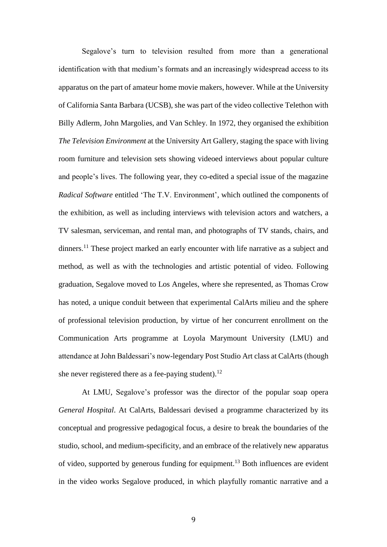Segalove's turn to television resulted from more than a generational identification with that medium's formats and an increasingly widespread access to its apparatus on the part of amateur home movie makers, however. While at the University of California Santa Barbara (UCSB), she was part of the video collective Telethon with Billy Adlerm, John Margolies, and Van Schley. In 1972, they organised the exhibition *The Television Environment* at the University Art Gallery, staging the space with living room furniture and television sets showing videoed interviews about popular culture and people's lives. The following year, they co-edited a special issue of the magazine *Radical Software* entitled 'The T.V. Environment', which outlined the components of the exhibition, as well as including interviews with television actors and watchers, a TV salesman, serviceman, and rental man, and photographs of TV stands, chairs, and dinners.<sup>11</sup> These project marked an early encounter with life narrative as a subject and method, as well as with the technologies and artistic potential of video. Following graduation, Segalove moved to Los Angeles, where she represented, as Thomas Crow has noted, a unique conduit between that experimental CalArts milieu and the sphere of professional television production, by virtue of her concurrent enrollment on the Communication Arts programme at Loyola Marymount University (LMU) and attendance at John Baldessari's now-legendary Post Studio Art class at CalArts (though she never registered there as a fee-paying student).<sup>12</sup>

At LMU, Segalove's professor was the director of the popular soap opera *General Hospital*. At CalArts, Baldessari devised a programme characterized by its conceptual and progressive pedagogical focus, a desire to break the boundaries of the studio, school, and medium-specificity, and an embrace of the relatively new apparatus of video, supported by generous funding for equipment.<sup>13</sup> Both influences are evident in the video works Segalove produced, in which playfully romantic narrative and a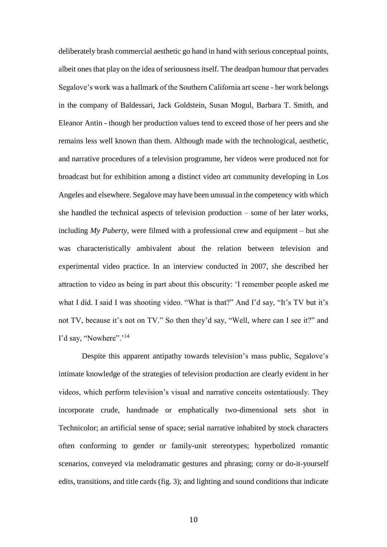deliberately brash commercial aesthetic go hand in hand with serious conceptual points, albeit ones that play on the idea of seriousness itself. The deadpan humour that pervades Segalove's work was a hallmark of the Southern California art scene - her work belongs in the company of Baldessari, Jack Goldstein, Susan Mogul, Barbara T. Smith, and Eleanor Antin - though her production values tend to exceed those of her peers and she remains less well known than them. Although made with the technological, aesthetic, and narrative procedures of a television programme, her videos were produced not for broadcast but for exhibition among a distinct video art community developing in Los Angeles and elsewhere. Segalove may have been unusual in the competency with which she handled the technical aspects of television production – some of her later works, including *My Puberty*, were filmed with a professional crew and equipment – but she was characteristically ambivalent about the relation between television and experimental video practice. In an interview conducted in 2007, she described her attraction to video as being in part about this obscurity: 'I remember people asked me what I did. I said I was shooting video. "What is that?" And I'd say, "It's TV but it's not TV, because it's not on TV." So then they'd say, "Well, where can I see it?" and I'd say, "Nowhere".'<sup>14</sup>

Despite this apparent antipathy towards television's mass public, Segalove's intimate knowledge of the strategies of television production are clearly evident in her videos, which perform television's visual and narrative conceits ostentatiously. They incorporate crude, handmade or emphatically two-dimensional sets shot in Technicolor; an artificial sense of space; serial narrative inhabited by stock characters often conforming to gender or family-unit stereotypes; hyperbolized romantic scenarios, conveyed via melodramatic gestures and phrasing; corny or do-it-yourself edits, transitions, and title cards (fig. 3); and lighting and sound conditions that indicate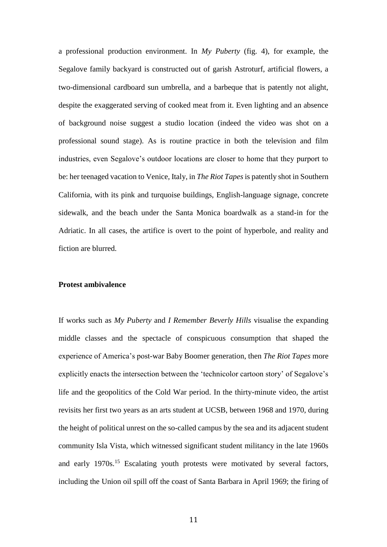a professional production environment. In *My Puberty* (fig. 4), for example, the Segalove family backyard is constructed out of garish Astroturf, artificial flowers, a two-dimensional cardboard sun umbrella, and a barbeque that is patently not alight, despite the exaggerated serving of cooked meat from it. Even lighting and an absence of background noise suggest a studio location (indeed the video was shot on a professional sound stage). As is routine practice in both the television and film industries, even Segalove's outdoor locations are closer to home that they purport to be: her teenaged vacation to Venice, Italy, in *The Riot Tapes* is patently shot in Southern California, with its pink and turquoise buildings, English-language signage, concrete sidewalk, and the beach under the Santa Monica boardwalk as a stand-in for the Adriatic. In all cases, the artifice is overt to the point of hyperbole, and reality and fiction are blurred.

### **Protest ambivalence**

If works such as *My Puberty* and *I Remember Beverly Hills* visualise the expanding middle classes and the spectacle of conspicuous consumption that shaped the experience of America's post-war Baby Boomer generation, then *The Riot Tapes* more explicitly enacts the intersection between the 'technicolor cartoon story' of Segalove's life and the geopolitics of the Cold War period. In the thirty-minute video, the artist revisits her first two years as an arts student at UCSB, between 1968 and 1970, during the height of political unrest on the so-called campus by the sea and its adjacent student community Isla Vista, which witnessed significant student militancy in the late 1960s and early 1970s.<sup>15</sup> Escalating youth protests were motivated by several factors, including the Union oil spill off the coast of Santa Barbara in April 1969; the firing of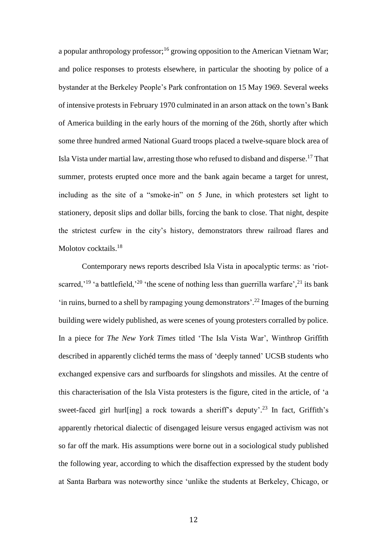a popular anthropology professor;<sup>16</sup> growing opposition to the American Vietnam War; and police responses to protests elsewhere, in particular the shooting by police of a bystander at the Berkeley People's Park confrontation on 15 May 1969. Several weeks of intensive protests in February 1970 culminated in an arson attack on the town's Bank of America building in the early hours of the morning of the 26th, shortly after which some three hundred armed National Guard troops placed a twelve-square block area of Isla Vista under martial law, arresting those who refused to disband and disperse.<sup>17</sup> That summer, protests erupted once more and the bank again became a target for unrest, including as the site of a "smoke-in" on 5 June, in which protesters set light to stationery, deposit slips and dollar bills, forcing the bank to close. That night, despite the strictest curfew in the city's history, demonstrators threw railroad flares and Molotov cocktails.<sup>18</sup>

Contemporary news reports described Isla Vista in apocalyptic terms: as 'riotscarred,<sup>'19</sup> 'a battlefield,<sup>'20</sup> 'the scene of nothing less than guerrilla warfare',<sup>21</sup> its bank 'in ruins, burned to a shell by rampaging young demonstrators'. <sup>22</sup> Images of the burning building were widely published, as were scenes of young protesters corralled by police. In a piece for *The New York Times* titled 'The Isla Vista War', Winthrop Griffith described in apparently clichéd terms the mass of 'deeply tanned' UCSB students who exchanged expensive cars and surfboards for slingshots and missiles. At the centre of this characterisation of the Isla Vista protesters is the figure, cited in the article, of 'a sweet-faced girl hurl[ing] a rock towards a sheriff's deputy'.<sup>23</sup> In fact, Griffith's apparently rhetorical dialectic of disengaged leisure versus engaged activism was not so far off the mark. His assumptions were borne out in a sociological study published the following year, according to which the disaffection expressed by the student body at Santa Barbara was noteworthy since 'unlike the students at Berkeley, Chicago, or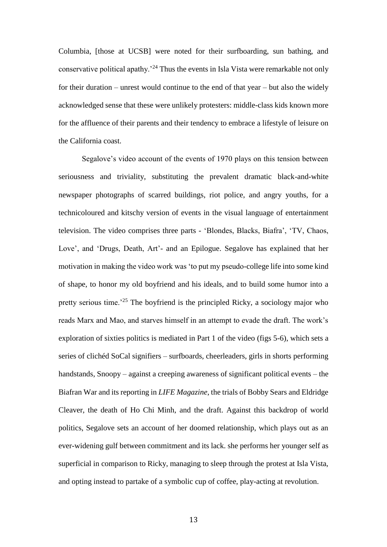Columbia, [those at UCSB] were noted for their surfboarding, sun bathing, and conservative political apathy.<sup>24</sup> Thus the events in Isla Vista were remarkable not only for their duration – unrest would continue to the end of that year – but also the widely acknowledged sense that these were unlikely protesters: middle-class kids known more for the affluence of their parents and their tendency to embrace a lifestyle of leisure on the California coast.

Segalove's video account of the events of 1970 plays on this tension between seriousness and triviality, substituting the prevalent dramatic black-and-white newspaper photographs of scarred buildings, riot police, and angry youths, for a technicoloured and kitschy version of events in the visual language of entertainment television. The video comprises three parts - 'Blondes, Blacks, Biafra', 'TV, Chaos, Love', and 'Drugs, Death, Art'- and an Epilogue. Segalove has explained that her motivation in making the video work was 'to put my pseudo-college life into some kind of shape, to honor my old boyfriend and his ideals, and to build some humor into a pretty serious time.'<sup>25</sup> The boyfriend is the principled Ricky, a sociology major who reads Marx and Mao, and starves himself in an attempt to evade the draft. The work's exploration of sixties politics is mediated in Part 1 of the video (figs 5-6), which sets a series of clichéd SoCal signifiers – surfboards, cheerleaders, girls in shorts performing handstands, Snoopy – against a creeping awareness of significant political events – the Biafran War and its reporting in *LIFE Magazine*, the trials of Bobby Sears and Eldridge Cleaver, the death of Ho Chi Minh, and the draft. Against this backdrop of world politics, Segalove sets an account of her doomed relationship, which plays out as an ever-widening gulf between commitment and its lack. she performs her younger self as superficial in comparison to Ricky, managing to sleep through the protest at Isla Vista, and opting instead to partake of a symbolic cup of coffee, play-acting at revolution.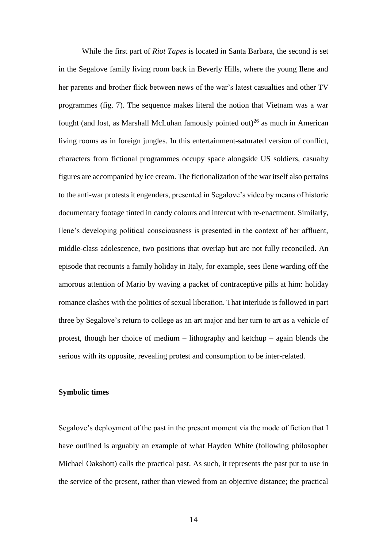While the first part of *Riot Tapes* is located in Santa Barbara, the second is set in the Segalove family living room back in Beverly Hills, where the young Ilene and her parents and brother flick between news of the war's latest casualties and other TV programmes (fig. 7). The sequence makes literal the notion that Vietnam was a war fought (and lost, as Marshall McLuhan famously pointed out)<sup>26</sup> as much in American living rooms as in foreign jungles. In this entertainment-saturated version of conflict, characters from fictional programmes occupy space alongside US soldiers, casualty figures are accompanied by ice cream. The fictionalization of the war itself also pertains to the anti-war protests it engenders, presented in Segalove's video by means of historic documentary footage tinted in candy colours and intercut with re-enactment. Similarly, Ilene's developing political consciousness is presented in the context of her affluent, middle-class adolescence, two positions that overlap but are not fully reconciled. An episode that recounts a family holiday in Italy, for example, sees Ilene warding off the amorous attention of Mario by waving a packet of contraceptive pills at him: holiday romance clashes with the politics of sexual liberation. That interlude is followed in part three by Segalove's return to college as an art major and her turn to art as a vehicle of protest, though her choice of medium – lithography and ketchup – again blends the serious with its opposite, revealing protest and consumption to be inter-related.

## **Symbolic times**

Segalove's deployment of the past in the present moment via the mode of fiction that I have outlined is arguably an example of what Hayden White (following philosopher Michael Oakshott) calls the practical past. As such, it represents the past put to use in the service of the present, rather than viewed from an objective distance; the practical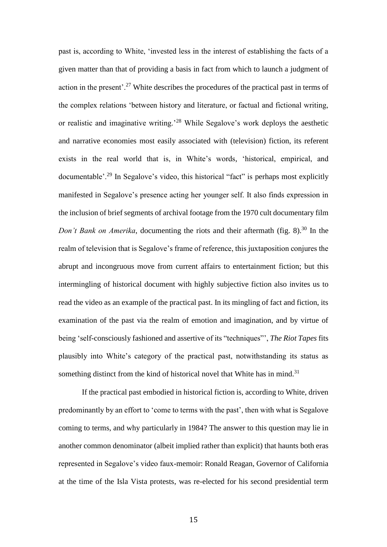past is, according to White, 'invested less in the interest of establishing the facts of a given matter than that of providing a basis in fact from which to launch a judgment of action in the present'.<sup>27</sup> White describes the procedures of the practical past in terms of the complex relations 'between history and literature, or factual and fictional writing, or realistic and imaginative writing.'<sup>28</sup> While Segalove's work deploys the aesthetic and narrative economies most easily associated with (television) fiction, its referent exists in the real world that is, in White's words, 'historical, empirical, and documentable'.<sup>29</sup> In Segalove's video, this historical "fact" is perhaps most explicitly manifested in Segalove's presence acting her younger self. It also finds expression in the inclusion of brief segments of archival footage from the 1970 cult documentary film *Don't Bank on Amerika*, documenting the riots and their aftermath (fig. 8). <sup>30</sup> In the realm of television that is Segalove's frame of reference, this juxtaposition conjures the abrupt and incongruous move from current affairs to entertainment fiction; but this intermingling of historical document with highly subjective fiction also invites us to read the video as an example of the practical past. In its mingling of fact and fiction, its examination of the past via the realm of emotion and imagination, and by virtue of being 'self-consciously fashioned and assertive of its "techniques"', *The Riot Tapes* fits plausibly into White's category of the practical past, notwithstanding its status as something distinct from the kind of historical novel that White has in mind.<sup>31</sup>

If the practical past embodied in historical fiction is, according to White, driven predominantly by an effort to 'come to terms with the past', then with what is Segalove coming to terms, and why particularly in 1984? The answer to this question may lie in another common denominator (albeit implied rather than explicit) that haunts both eras represented in Segalove's video faux-memoir: Ronald Reagan, Governor of California at the time of the Isla Vista protests, was re-elected for his second presidential term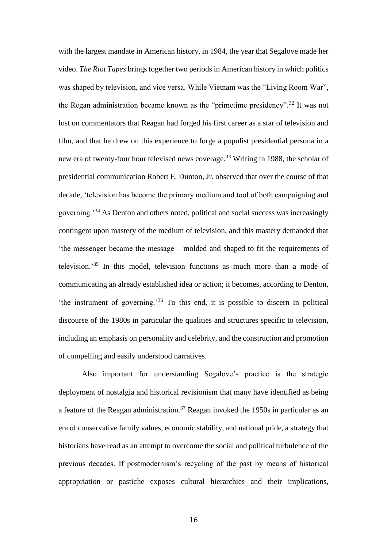with the largest mandate in American history, in 1984, the year that Segalove made her video. *The Riot Tapes* brings together two periods in American history in which politics was shaped by television, and vice versa. While Vietnam was the "Living Room War", the Regan administration became known as the "primetime presidency".<sup>32</sup> It was not lost on commentators that Reagan had forged his first career as a star of television and film, and that he drew on this experience to forge a populist presidential persona in a new era of twenty-four hour televised news coverage.<sup>33</sup> Writing in 1988, the scholar of presidential communication Robert E. Dunton, Jr. observed that over the course of that decade, 'television has become the primary medium and tool of both campaigning and governing.'<sup>34</sup> As Denton and others noted, political and social success was increasingly contingent upon mastery of the medium of television, and this mastery demanded that 'the messenger became the message – molded and shaped to fit the requirements of television.'<sup>35</sup> In this model, television functions as much more than a mode of communicating an already established idea or action; it becomes, according to Denton, 'the instrument of governing.'<sup>36</sup> To this end, it is possible to discern in political discourse of the 1980s in particular the qualities and structures specific to television, including an emphasis on personality and celebrity, and the construction and promotion of compelling and easily understood narratives.

Also important for understanding Segalove's practice is the strategic deployment of nostalgia and historical revisionism that many have identified as being a feature of the Reagan administration.<sup>37</sup> Reagan invoked the 1950s in particular as an era of conservative family values, economic stability, and national pride, a strategy that historians have read as an attempt to overcome the social and political turbulence of the previous decades. If postmodernism's recycling of the past by means of historical appropriation or pastiche exposes cultural hierarchies and their implications,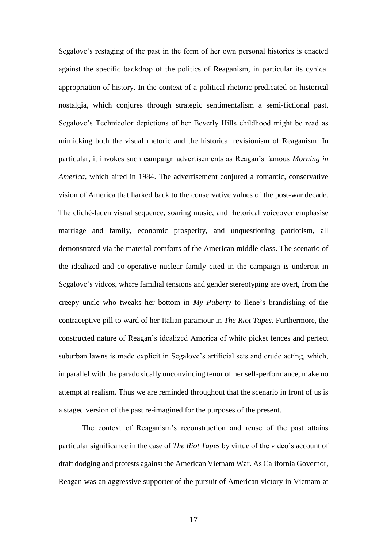Segalove's restaging of the past in the form of her own personal histories is enacted against the specific backdrop of the politics of Reaganism, in particular its cynical appropriation of history. In the context of a political rhetoric predicated on historical nostalgia, which conjures through strategic sentimentalism a semi-fictional past, Segalove's Technicolor depictions of her Beverly Hills childhood might be read as mimicking both the visual rhetoric and the historical revisionism of Reaganism. In particular, it invokes such campaign advertisements as Reagan's famous *Morning in America*, which aired in 1984. The advertisement conjured a romantic, conservative vision of America that harked back to the conservative values of the post-war decade. The cliché-laden visual sequence, soaring music, and rhetorical voiceover emphasise marriage and family, economic prosperity, and unquestioning patriotism, all demonstrated via the material comforts of the American middle class. The scenario of the idealized and co-operative nuclear family cited in the campaign is undercut in Segalove's videos, where familial tensions and gender stereotyping are overt, from the creepy uncle who tweaks her bottom in *My Puberty* to Ilene's brandishing of the contraceptive pill to ward of her Italian paramour in *The Riot Tapes*. Furthermore, the constructed nature of Reagan's idealized America of white picket fences and perfect suburban lawns is made explicit in Segalove's artificial sets and crude acting, which, in parallel with the paradoxically unconvincing tenor of her self-performance, make no attempt at realism. Thus we are reminded throughout that the scenario in front of us is a staged version of the past re-imagined for the purposes of the present.

The context of Reaganism's reconstruction and reuse of the past attains particular significance in the case of *The Riot Tapes* by virtue of the video's account of draft dodging and protests against the American Vietnam War. As California Governor, Reagan was an aggressive supporter of the pursuit of American victory in Vietnam at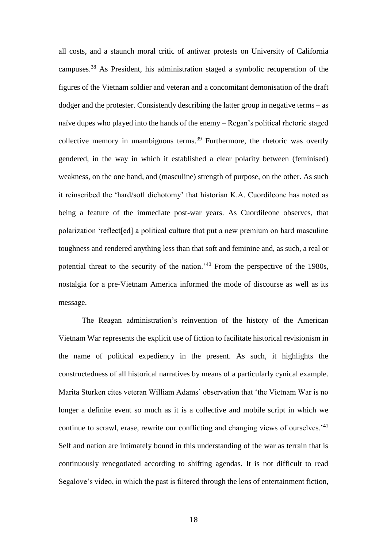all costs, and a staunch moral critic of antiwar protests on University of California campuses.<sup>38</sup> As President, his administration staged a symbolic recuperation of the figures of the Vietnam soldier and veteran and a concomitant demonisation of the draft dodger and the protester. Consistently describing the latter group in negative terms – as naïve dupes who played into the hands of the enemy – Regan's political rhetoric staged collective memory in unambiguous terms.<sup>39</sup> Furthermore, the rhetoric was overtly gendered, in the way in which it established a clear polarity between (feminised) weakness, on the one hand, and (masculine) strength of purpose, on the other. As such it reinscribed the 'hard/soft dichotomy' that historian K.A. Cuordileone has noted as being a feature of the immediate post-war years. As Cuordileone observes, that polarization 'reflect[ed] a political culture that put a new premium on hard masculine toughness and rendered anything less than that soft and feminine and, as such, a real or potential threat to the security of the nation.'<sup>40</sup> From the perspective of the 1980s, nostalgia for a pre-Vietnam America informed the mode of discourse as well as its message.

The Reagan administration's reinvention of the history of the American Vietnam War represents the explicit use of fiction to facilitate historical revisionism in the name of political expediency in the present. As such, it highlights the constructedness of all historical narratives by means of a particularly cynical example. Marita Sturken cites veteran William Adams' observation that 'the Vietnam War is no longer a definite event so much as it is a collective and mobile script in which we continue to scrawl, erase, rewrite our conflicting and changing views of ourselves.<sup>'41</sup> Self and nation are intimately bound in this understanding of the war as terrain that is continuously renegotiated according to shifting agendas. It is not difficult to read Segalove's video, in which the past is filtered through the lens of entertainment fiction,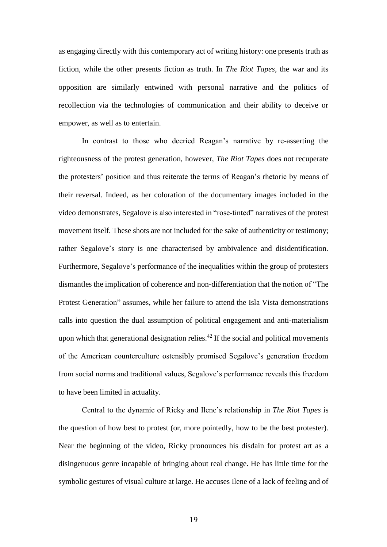as engaging directly with this contemporary act of writing history: one presents truth as fiction, while the other presents fiction as truth. In *The Riot Tapes*, the war and its opposition are similarly entwined with personal narrative and the politics of recollection via the technologies of communication and their ability to deceive or empower, as well as to entertain.

In contrast to those who decried Reagan's narrative by re-asserting the righteousness of the protest generation, however, *The Riot Tapes* does not recuperate the protesters' position and thus reiterate the terms of Reagan's rhetoric by means of their reversal. Indeed, as her coloration of the documentary images included in the video demonstrates, Segalove is also interested in "rose-tinted" narratives of the protest movement itself. These shots are not included for the sake of authenticity or testimony; rather Segalove's story is one characterised by ambivalence and disidentification. Furthermore, Segalove's performance of the inequalities within the group of protesters dismantles the implication of coherence and non-differentiation that the notion of "The Protest Generation" assumes, while her failure to attend the Isla Vista demonstrations calls into question the dual assumption of political engagement and anti-materialism upon which that generational designation relies. $42$  If the social and political movements of the American counterculture ostensibly promised Segalove's generation freedom from social norms and traditional values, Segalove's performance reveals this freedom to have been limited in actuality.

Central to the dynamic of Ricky and Ilene's relationship in *The Riot Tapes* is the question of how best to protest (or, more pointedly, how to be the best protester). Near the beginning of the video, Ricky pronounces his disdain for protest art as a disingenuous genre incapable of bringing about real change. He has little time for the symbolic gestures of visual culture at large. He accuses Ilene of a lack of feeling and of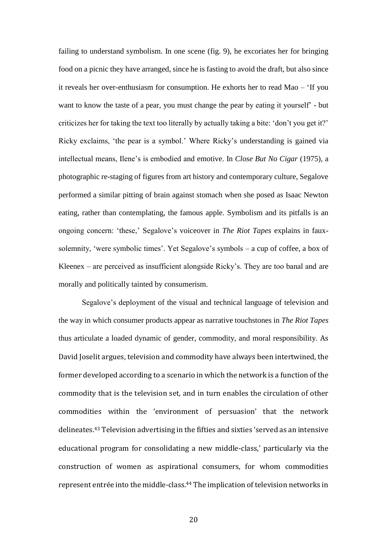failing to understand symbolism. In one scene (fig. 9), he excoriates her for bringing food on a picnic they have arranged, since he is fasting to avoid the draft, but also since it reveals her over-enthusiasm for consumption. He exhorts her to read Mao – 'If you want to know the taste of a pear, you must change the pear by eating it yourself' - but criticizes her for taking the text too literally by actually taking a bite: 'don't you get it?' Ricky exclaims, 'the pear is a symbol.' Where Ricky's understanding is gained via intellectual means, Ilene's is embodied and emotive. In *Close But No Cigar* (1975), a photographic re-staging of figures from art history and contemporary culture, Segalove performed a similar pitting of brain against stomach when she posed as Isaac Newton eating, rather than contemplating, the famous apple. Symbolism and its pitfalls is an ongoing concern: 'these,' Segalove's voiceover in *The Riot Tapes* explains in fauxsolemnity, 'were symbolic times'. Yet Segalove's symbols – a cup of coffee, a box of Kleenex – are perceived as insufficient alongside Ricky's. They are too banal and are morally and politically tainted by consumerism.

Segalove's deployment of the visual and technical language of television and the way in which consumer products appear as narrative touchstones in *The Riot Tapes* thus articulate a loaded dynamic of gender, commodity, and moral responsibility. As David Joselit argues, television and commodity have always been intertwined, the former developed according to a scenario in which the network is a function of the commodity that is the television set, and in turn enables the circulation of other commodities within the 'environment of persuasion' that the network delineates.<sup>43</sup> Television advertising in the fifties and sixties 'served as an intensive educational program for consolidating a new middle-class,' particularly via the construction of women as aspirational consumers, for whom commodities represent entrée into the middle-class. <sup>44</sup> The implication of television networks in

20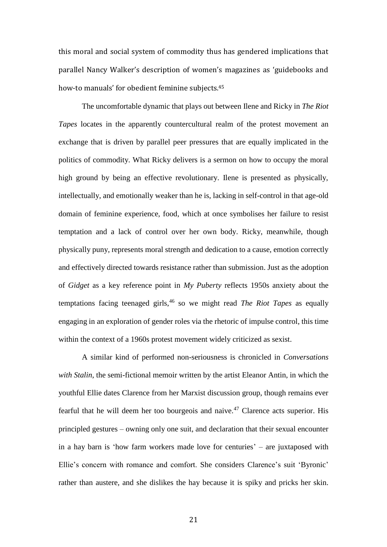this moral and social system of commodity thus has gendered implications that parallel Nancy Walker's description of women's magazines as 'guidebooks and how-to manuals' for obedient feminine subjects.<sup>45</sup>

The uncomfortable dynamic that plays out between Ilene and Ricky in *The Riot Tapes* locates in the apparently countercultural realm of the protest movement an exchange that is driven by parallel peer pressures that are equally implicated in the politics of commodity. What Ricky delivers is a sermon on how to occupy the moral high ground by being an effective revolutionary. Ilene is presented as physically, intellectually, and emotionally weaker than he is, lacking in self-control in that age-old domain of feminine experience, food, which at once symbolises her failure to resist temptation and a lack of control over her own body. Ricky, meanwhile, though physically puny, represents moral strength and dedication to a cause, emotion correctly and effectively directed towards resistance rather than submission. Just as the adoption of *Gidget* as a key reference point in *My Puberty* reflects 1950s anxiety about the temptations facing teenaged girls,<sup>46</sup> so we might read *The Riot Tapes* as equally engaging in an exploration of gender roles via the rhetoric of impulse control, this time within the context of a 1960s protest movement widely criticized as sexist.

A similar kind of performed non-seriousness is chronicled in *Conversations with Stalin*, the semi-fictional memoir written by the artist Eleanor Antin, in which the youthful Ellie dates Clarence from her Marxist discussion group, though remains ever fearful that he will deem her too bourgeois and naive.<sup> $47$ </sup> Clarence acts superior. His principled gestures – owning only one suit, and declaration that their sexual encounter in a hay barn is 'how farm workers made love for centuries' – are juxtaposed with Ellie's concern with romance and comfort. She considers Clarence's suit 'Byronic' rather than austere, and she dislikes the hay because it is spiky and pricks her skin.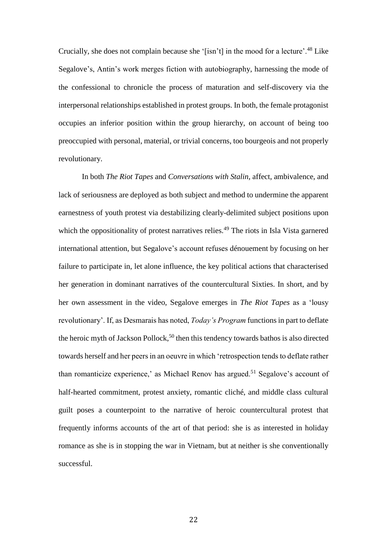Crucially, she does not complain because she '[isn't] in the mood for a lecture'.<sup>48</sup> Like Segalove's, Antin's work merges fiction with autobiography, harnessing the mode of the confessional to chronicle the process of maturation and self-discovery via the interpersonal relationships established in protest groups. In both, the female protagonist occupies an inferior position within the group hierarchy, on account of being too preoccupied with personal, material, or trivial concerns, too bourgeois and not properly revolutionary.

In both *The Riot Tapes* and *Conversations with Stalin*, affect, ambivalence, and lack of seriousness are deployed as both subject and method to undermine the apparent earnestness of youth protest via destabilizing clearly-delimited subject positions upon which the oppositionality of protest narratives relies.<sup>49</sup> The riots in Isla Vista garnered international attention, but Segalove's account refuses dénouement by focusing on her failure to participate in, let alone influence, the key political actions that characterised her generation in dominant narratives of the countercultural Sixties. In short, and by her own assessment in the video, Segalove emerges in *The Riot Tapes* as a 'lousy revolutionary'. If, as Desmarais has noted, *Today's Program* functions in part to deflate the heroic myth of Jackson Pollock,<sup>50</sup> then this tendency towards bathos is also directed towards herself and her peers in an oeuvre in which 'retrospection tends to deflate rather than romanticize experience,' as Michael Renov has argued.<sup>51</sup> Segalove's account of half-hearted commitment, protest anxiety, romantic cliché, and middle class cultural guilt poses a counterpoint to the narrative of heroic countercultural protest that frequently informs accounts of the art of that period: she is as interested in holiday romance as she is in stopping the war in Vietnam, but at neither is she conventionally successful.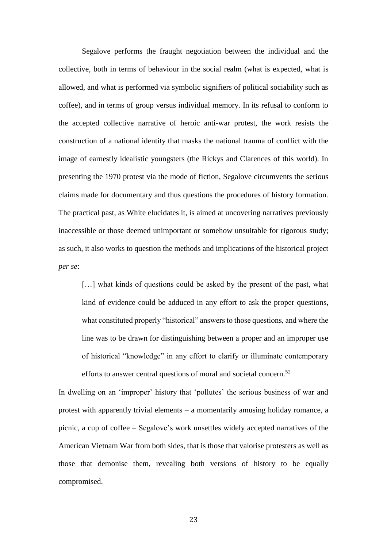Segalove performs the fraught negotiation between the individual and the collective, both in terms of behaviour in the social realm (what is expected, what is allowed, and what is performed via symbolic signifiers of political sociability such as coffee), and in terms of group versus individual memory. In its refusal to conform to the accepted collective narrative of heroic anti-war protest, the work resists the construction of a national identity that masks the national trauma of conflict with the image of earnestly idealistic youngsters (the Rickys and Clarences of this world). In presenting the 1970 protest via the mode of fiction, Segalove circumvents the serious claims made for documentary and thus questions the procedures of history formation. The practical past, as White elucidates it, is aimed at uncovering narratives previously inaccessible or those deemed unimportant or somehow unsuitable for rigorous study; as such, it also works to question the methods and implications of the historical project *per se*:

[...] what kinds of questions could be asked by the present of the past, what kind of evidence could be adduced in any effort to ask the proper questions, what constituted properly "historical" answers to those questions, and where the line was to be drawn for distinguishing between a proper and an improper use of historical "knowledge" in any effort to clarify or illuminate contemporary efforts to answer central questions of moral and societal concern.<sup>52</sup>

In dwelling on an 'improper' history that 'pollutes' the serious business of war and protest with apparently trivial elements – a momentarily amusing holiday romance, a picnic, a cup of coffee – Segalove's work unsettles widely accepted narratives of the American Vietnam War from both sides, that is those that valorise protesters as well as those that demonise them, revealing both versions of history to be equally compromised.

23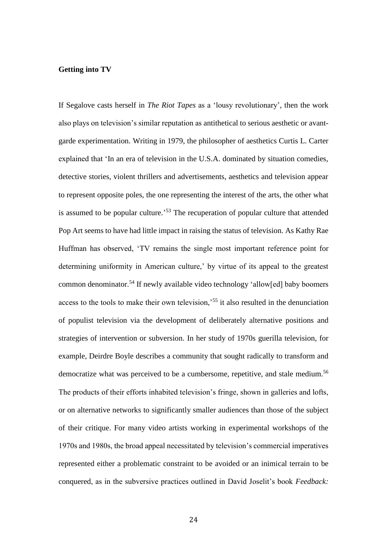#### **Getting into TV**

If Segalove casts herself in *The Riot Tapes* as a 'lousy revolutionary', then the work also plays on television's similar reputation as antithetical to serious aesthetic or avantgarde experimentation. Writing in 1979, the philosopher of aesthetics Curtis L. Carter explained that 'In an era of television in the U.S.A. dominated by situation comedies, detective stories, violent thrillers and advertisements, aesthetics and television appear to represent opposite poles, the one representing the interest of the arts, the other what is assumed to be popular culture.<sup>553</sup> The recuperation of popular culture that attended Pop Art seems to have had little impact in raising the status of television. As Kathy Rae Huffman has observed, 'TV remains the single most important reference point for determining uniformity in American culture,' by virtue of its appeal to the greatest common denominator.<sup>54</sup> If newly available video technology 'allow[ed] baby boomers access to the tools to make their own television,'<sup>55</sup> it also resulted in the denunciation of populist television via the development of deliberately alternative positions and strategies of intervention or subversion. In her study of 1970s guerilla television, for example, Deirdre Boyle describes a community that sought radically to transform and democratize what was perceived to be a cumbersome, repetitive, and stale medium.<sup>56</sup> The products of their efforts inhabited television's fringe, shown in galleries and lofts, or on alternative networks to significantly smaller audiences than those of the subject of their critique. For many video artists working in experimental workshops of the 1970s and 1980s, the broad appeal necessitated by television's commercial imperatives represented either a problematic constraint to be avoided or an inimical terrain to be conquered, as in the subversive practices outlined in David Joselit's book *Feedback:*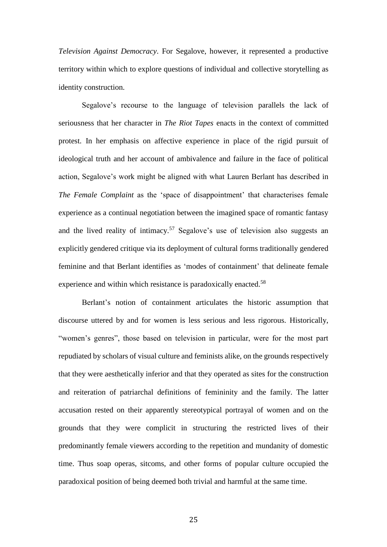*Television Against Democracy*. For Segalove, however, it represented a productive territory within which to explore questions of individual and collective storytelling as identity construction.

Segalove's recourse to the language of television parallels the lack of seriousness that her character in *The Riot Tapes* enacts in the context of committed protest. In her emphasis on affective experience in place of the rigid pursuit of ideological truth and her account of ambivalence and failure in the face of political action, Segalove's work might be aligned with what Lauren Berlant has described in *The Female Complaint* as the 'space of disappointment' that characterises female experience as a continual negotiation between the imagined space of romantic fantasy and the lived reality of intimacy.<sup>57</sup> Segalove's use of television also suggests an explicitly gendered critique via its deployment of cultural forms traditionally gendered feminine and that Berlant identifies as 'modes of containment' that delineate female experience and within which resistance is paradoxically enacted.<sup>58</sup>

Berlant's notion of containment articulates the historic assumption that discourse uttered by and for women is less serious and less rigorous. Historically, "women's genres", those based on television in particular, were for the most part repudiated by scholars of visual culture and feminists alike, on the grounds respectively that they were aesthetically inferior and that they operated as sites for the construction and reiteration of patriarchal definitions of femininity and the family. The latter accusation rested on their apparently stereotypical portrayal of women and on the grounds that they were complicit in structuring the restricted lives of their predominantly female viewers according to the repetition and mundanity of domestic time. Thus soap operas, sitcoms, and other forms of popular culture occupied the paradoxical position of being deemed both trivial and harmful at the same time.

25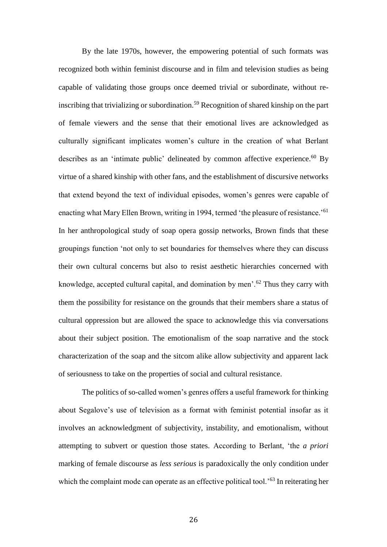By the late 1970s, however, the empowering potential of such formats was recognized both within feminist discourse and in film and television studies as being capable of validating those groups once deemed trivial or subordinate, without reinscribing that trivializing or subordination.<sup>59</sup> Recognition of shared kinship on the part of female viewers and the sense that their emotional lives are acknowledged as culturally significant implicates women's culture in the creation of what Berlant describes as an 'intimate public' delineated by common affective experience. $60$  By virtue of a shared kinship with other fans, and the establishment of discursive networks that extend beyond the text of individual episodes, women's genres were capable of enacting what Mary Ellen Brown, writing in 1994, termed 'the pleasure of resistance.'<sup>61</sup> In her anthropological study of soap opera gossip networks, Brown finds that these groupings function 'not only to set boundaries for themselves where they can discuss their own cultural concerns but also to resist aesthetic hierarchies concerned with knowledge, accepted cultural capital, and domination by men'.<sup>62</sup> Thus they carry with them the possibility for resistance on the grounds that their members share a status of cultural oppression but are allowed the space to acknowledge this via conversations about their subject position. The emotionalism of the soap narrative and the stock characterization of the soap and the sitcom alike allow subjectivity and apparent lack of seriousness to take on the properties of social and cultural resistance.

The politics of so-called women's genres offers a useful framework for thinking about Segalove's use of television as a format with feminist potential insofar as it involves an acknowledgment of subjectivity, instability, and emotionalism, without attempting to subvert or question those states. According to Berlant, 'the *a priori* marking of female discourse as *less serious* is paradoxically the only condition under which the complaint mode can operate as an effective political tool.<sup>'63</sup> In reiterating her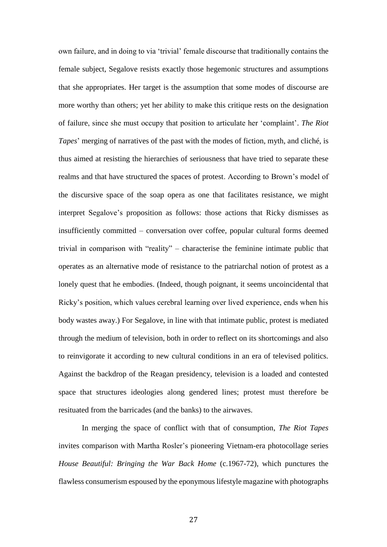own failure, and in doing to via 'trivial' female discourse that traditionally contains the female subject, Segalove resists exactly those hegemonic structures and assumptions that she appropriates. Her target is the assumption that some modes of discourse are more worthy than others; yet her ability to make this critique rests on the designation of failure, since she must occupy that position to articulate her 'complaint'. *The Riot Tapes*' merging of narratives of the past with the modes of fiction, myth, and cliché, is thus aimed at resisting the hierarchies of seriousness that have tried to separate these realms and that have structured the spaces of protest. According to Brown's model of the discursive space of the soap opera as one that facilitates resistance, we might interpret Segalove's proposition as follows: those actions that Ricky dismisses as insufficiently committed – conversation over coffee, popular cultural forms deemed trivial in comparison with "reality" – characterise the feminine intimate public that operates as an alternative mode of resistance to the patriarchal notion of protest as a lonely quest that he embodies. (Indeed, though poignant, it seems uncoincidental that Ricky's position, which values cerebral learning over lived experience, ends when his body wastes away.) For Segalove, in line with that intimate public, protest is mediated through the medium of television, both in order to reflect on its shortcomings and also to reinvigorate it according to new cultural conditions in an era of televised politics. Against the backdrop of the Reagan presidency, television is a loaded and contested space that structures ideologies along gendered lines; protest must therefore be resituated from the barricades (and the banks) to the airwaves.

In merging the space of conflict with that of consumption, *The Riot Tapes*  invites comparison with Martha Rosler's pioneering Vietnam-era photocollage series *House Beautiful: Bringing the War Back Home* (c.1967-72), which punctures the flawless consumerism espoused by the eponymous lifestyle magazine with photographs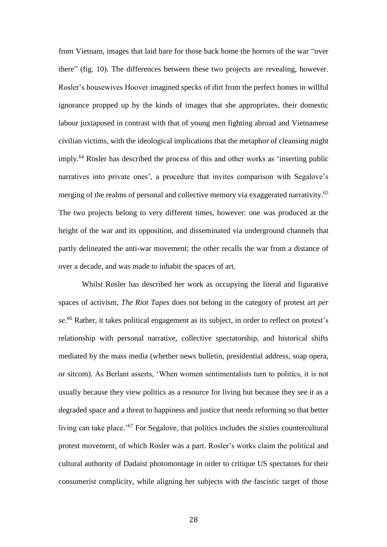from Vietnam, images that laid bare for those back home the horrors of the war "over there" (fig. 10). The differences between these two projects are revealing, however. Rosler's housewives Hoover imagined specks of dirt from the perfect homes in willful ignorance propped up by the kinds of images that she appropriates, their domestic labour juxtaposed in contrast with that of young men fighting abroad and Vietnamese civilian victims, with the ideological implications that the metaphor of cleansing might imply.<sup>64</sup> Rosler has described the process of this and other works as 'inserting public narratives into private ones', a procedure that invites comparison with Segalove's merging of the realms of personal and collective memory via exaggerated narrativity.<sup>65</sup> The two projects belong to very different times, however: one was produced at the height of the war and its opposition, and disseminated via underground channels that partly delineated the anti-war movement; the other recalls the war from a distance of over a decade, and was made to inhabit the spaces of art.

Whilst Rosler has described her work as occupying the literal and figurative spaces of activism, *The Riot Tapes* does not belong in the category of protest art *per se*. <sup>66</sup> Rather, it takes political engagement as its subject, in order to reflect on protest's relationship with personal narrative, collective spectatorship, and historical shifts mediated by the mass media (whether news bulletin, presidential address, soap opera, or sitcom). As Berlant asserts, 'When women sentimentalists turn to politics, it is not usually because they view politics as a resource for living but because they see it as a degraded space and a threat to happiness and justice that needs reforming so that better living can take place.'<sup>67</sup> For Segalove, that politics includes the sixties countercultural protest movement, of which Rosler was a part. Rosler's works claim the political and cultural authority of Dadaist photomontage in order to critique US spectators for their consumerist complicity, while aligning her subjects with the fascistic target of those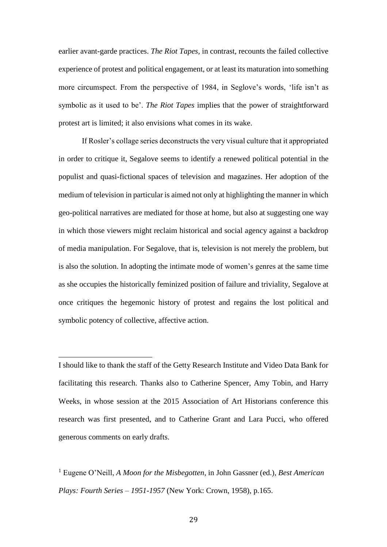earlier avant-garde practices. *The Riot Tapes*, in contrast, recounts the failed collective experience of protest and political engagement, or at least its maturation into something more circumspect. From the perspective of 1984, in Seglove's words, 'life isn't as symbolic as it used to be'. *The Riot Tapes* implies that the power of straightforward protest art is limited; it also envisions what comes in its wake.

If Rosler's collage series deconstructs the very visual culture that it appropriated in order to critique it, Segalove seems to identify a renewed political potential in the populist and quasi-fictional spaces of television and magazines. Her adoption of the medium of television in particular is aimed not only at highlighting the manner in which geo-political narratives are mediated for those at home, but also at suggesting one way in which those viewers might reclaim historical and social agency against a backdrop of media manipulation. For Segalove, that is, television is not merely the problem, but is also the solution. In adopting the intimate mode of women's genres at the same time as she occupies the historically feminized position of failure and triviality, Segalove at once critiques the hegemonic history of protest and regains the lost political and symbolic potency of collective, affective action.

I should like to thank the staff of the Getty Research Institute and Video Data Bank for facilitating this research. Thanks also to Catherine Spencer, Amy Tobin, and Harry Weeks, in whose session at the 2015 Association of Art Historians conference this research was first presented, and to Catherine Grant and Lara Pucci, who offered generous comments on early drafts.

 $\overline{a}$ 

<sup>1</sup> Eugene O'Neill, *A Moon for the Misbegotten*, in John Gassner (ed.), *Best American Plays: Fourth Series – 1951-1957* (New York: Crown, 1958), p.165.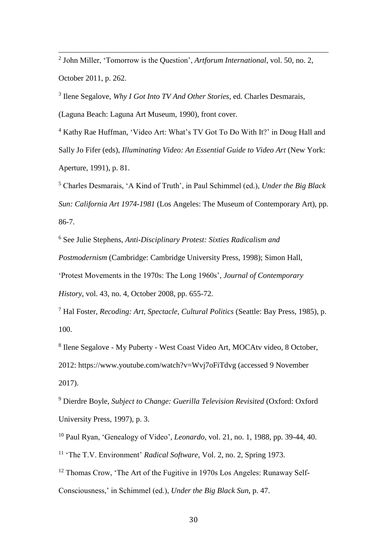$\overline{a}$ 2 John Miller, 'Tomorrow is the Question', *Artforum International*, vol. 50, no. 2, October 2011, p. 262.

3 Ilene Segalove, *Why I Got Into TV And Other Stories*, ed. Charles Desmarais,

(Laguna Beach: Laguna Art Museum, 1990), front cover.

<sup>4</sup> Kathy Rae Huffman, 'Video Art: What's TV Got To Do With It?' in Doug Hall and Sally Jo Fifer (eds), *Illuminating Video: An Essential Guide to Video Art* (New York: Aperture, 1991), p. 81.

<sup>5</sup> Charles Desmarais, 'A Kind of Truth', in Paul Schimmel (ed.), *Under the Big Black Sun: California Art 1974-1981* (Los Angeles: The Museum of Contemporary Art), pp. 86-7.

<sup>6</sup> See Julie Stephens, *Anti-Disciplinary Protest: Sixties Radicalism and* 

*Postmodernism* (Cambridge: Cambridge University Press, 1998); Simon Hall,

'Protest Movements in the 1970s: The Long 1960s', *Journal of Contemporary* 

*History*, vol. 43, no. 4, October 2008, pp. 655-72.

<sup>7</sup> Hal Foster, *Recoding: Art, Spectacle, Cultural Politics* (Seattle: Bay Press, 1985), p. 100.

8 Ilene Segalove - My Puberty - West Coast Video Art, MOCAtv video, 8 October, 2012: https://www.youtube.com/watch?v=Wvj7oFiTdvg (accessed 9 November 2017).

<sup>9</sup> Dierdre Boyle, *Subject to Change: Guerilla Television Revisited* (Oxford: Oxford University Press, 1997), p. 3.

<sup>10</sup> Paul Ryan, 'Genealogy of Video', *Leonardo*, vol. 21, no. 1, 1988, pp. 39-44, 40. <sup>11</sup> 'The T.V. Environment' *Radical Software*, Vol. 2, no. 2, Spring 1973.

<sup>12</sup> Thomas Crow, 'The Art of the Fugitive in 1970s Los Angeles: Runaway Self-Consciousness,' in Schimmel (ed.), *Under the Big Black Sun*, p. 47.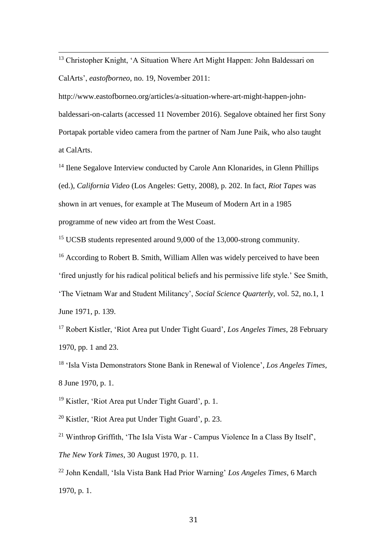<sup>13</sup> Christopher Knight, 'A Situation Where Art Might Happen: John Baldessari on CalArts', *eastofborneo*, no. 19, November 2011:

 $\overline{a}$ 

http://www.eastofborneo.org/articles/a-situation-where-art-might-happen-johnbaldessari-on-calarts (accessed 11 November 2016). Segalove obtained her first Sony Portapak portable video camera from the partner of Nam June Paik, who also taught at CalArts.

<sup>14</sup> Ilene Segalove Interview conducted by Carole Ann Klonarides, in Glenn Phillips (ed.), *California Video* (Los Angeles: Getty, 2008), p. 202. In fact, *Riot Tapes* was shown in art venues, for example at The Museum of Modern Art in a 1985 programme of new video art from the West Coast.

<sup>15</sup> UCSB students represented around 9,000 of the 13,000-strong community.

<sup>16</sup> According to Robert B. Smith, William Allen was widely perceived to have been 'fired unjustly for his radical political beliefs and his permissive life style.' See Smith, 'The Vietnam War and Student Militancy', *Social Science Quarterly*, vol. 52, no.1, 1 June 1971, p. 139.

<sup>17</sup> Robert Kistler, 'Riot Area put Under Tight Guard', *Los Angeles Times*, 28 February 1970, pp. 1 and 23.

<sup>18</sup> 'Isla Vista Demonstrators Stone Bank in Renewal of Violence', *Los Angeles Times*, 8 June 1970, p. 1.

<sup>19</sup> Kistler, 'Riot Area put Under Tight Guard', p. 1.

<sup>20</sup> Kistler, 'Riot Area put Under Tight Guard', p. 23.

<sup>21</sup> Winthrop Griffith, 'The Isla Vista War - Campus Violence In a Class By Itself', *The New York Times*, 30 August 1970, p. 11.

<sup>22</sup> John Kendall, 'Isla Vista Bank Had Prior Warning' *Los Angeles Times*, 6 March 1970, p. 1.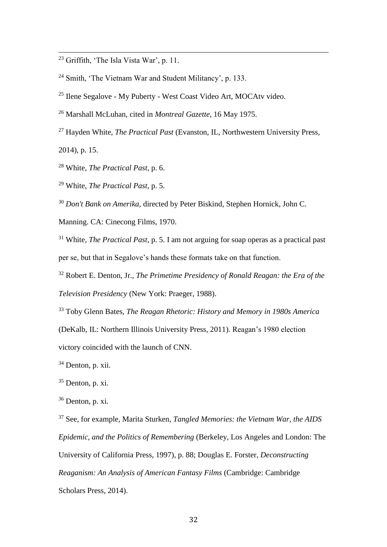$^{23}$  Griffith, 'The Isla Vista War', p. 11.

 $\overline{a}$ 

<sup>24</sup> Smith, 'The Vietnam War and Student Militancy', p. 133.

<sup>25</sup> Ilene Segalove - My Puberty - West Coast Video Art, MOCAtv video.

<sup>26</sup> Marshall McLuhan, cited in *Montreal Gazette*, 16 May 1975.

<sup>27</sup> Hayden White, *The Practical Past* (Evanston, IL, Northwestern University Press, 2014), p. 15.

<sup>28</sup> White, *The Practical Past*, p. 6.

<sup>29</sup> White, *The Practical Past*, p. 5.

<sup>30</sup> *Don't Bank on Amerika*, directed by Peter Biskind, Stephen Hornick, John C.

Manning. CA: Cinecong Films, 1970.

<sup>31</sup> White, *The Practical Past*, p. 5. I am not arguing for soap operas as a practical past per se, but that in Segalove's hands these formats take on that function.

<sup>32</sup> Robert E. Denton, Jr., *The Primetime Presidency of Ronald Reagan: the Era of the Television Presidency* (New York: Praeger, 1988).

<sup>33</sup> Toby Glenn Bates, *The Reagan Rhetoric: History and Memory in 1980s America* (DeKalb, IL: Northern Illinois University Press, 2011). Reagan's 1980 election victory coincided with the launch of CNN.

<sup>34</sup> Denton, p. xii.

 $35$  Denton, p. xi.

 $36$  Denton, p. xi.

<sup>37</sup> See, for example, Marita Sturken, *Tangled Memories: the Vietnam War, the AIDS Epidemic, and the Politics of Remembering* (Berkeley, Los Angeles and London: The University of California Press, 1997), p. 88; Douglas E. Forster, *Deconstructing Reaganism: An Analysis of American Fantasy Films* (Cambridge: Cambridge Scholars Press, 2014).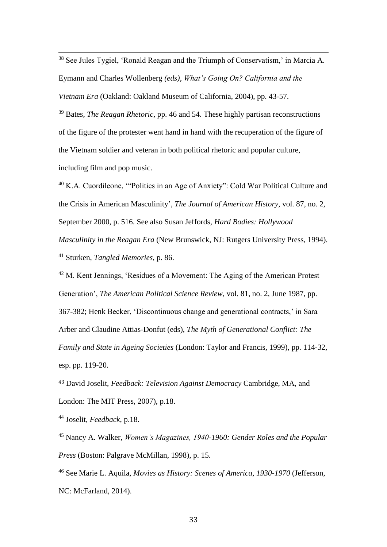$\overline{a}$  $38$  See Jules Tygiel, 'Ronald Reagan and the Triumph of Conservatism,' in Marcia A. Eymann and Charles Wollenberg *(eds), What's Going On? California and the Vietnam Era* (Oakland: Oakland Museum of California, 2004), pp. 43-57.

<sup>39</sup> Bates, *The Reagan Rhetoric*, pp. 46 and 54. These highly partisan reconstructions of the figure of the protester went hand in hand with the recuperation of the figure of the Vietnam soldier and veteran in both political rhetoric and popular culture, including film and pop music.

<sup>40</sup> K.A. Cuordileone, '"Politics in an Age of Anxiety": Cold War Political Culture and the Crisis in American Masculinity', *The Journal of American History*, vol. 87, no. 2, September 2000, p. 516. See also Susan Jeffords, *Hard Bodies: Hollywood Masculinity in the Reagan Era* (New Brunswick, NJ: Rutgers University Press, 1994). <sup>41</sup> Sturken, *Tangled Memories*, p. 86.

<sup>42</sup> M. Kent Jennings, 'Residues of a Movement: The Aging of the American Protest Generation', *The American Political Science Review*, vol. 81, no. 2, June 1987, pp. 367-382; Henk Becker, 'Discontinuous change and generational contracts,' in Sara Arber and Claudine Attias-Donfut (eds), *The Myth of Generational Conflict: The Family and State in Ageing Societies* (London: Taylor and Francis, 1999), pp. 114-32, esp. pp. 119-20.

<sup>43</sup> David Joselit, *Feedback: Television Against Democracy* Cambridge, MA, and London: The MIT Press, 2007), p.18.

<sup>44</sup> Joselit, *Feedback*, p.18.

<sup>45</sup> Nancy A. Walker, *Women's Magazines, 1940-1960: Gender Roles and the Popular Press* (Boston: Palgrave McMillan, 1998), p. 15.

<sup>46</sup> See Marie L. Aquila, *Movies as History: Scenes of America, 1930-1970* (Jefferson, NC: McFarland, 2014).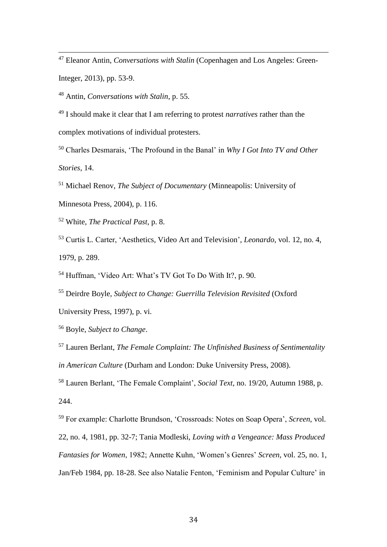<sup>47</sup> Eleanor Antin, *Conversations with Stalin* (Copenhagen and Los Angeles: Green-Integer, 2013), pp. 53-9.

<sup>48</sup> Antin, *Conversations with Stalin*, p. 55.

<sup>49</sup> I should make it clear that I am referring to protest *narratives* rather than the

complex motivations of individual protesters.

<sup>50</sup> Charles Desmarais, 'The Profound in the Banal' in *Why I Got Into TV and Other* 

*Stories*, 14.

 $\overline{a}$ 

<sup>51</sup> Michael Renov, *The Subject of Documentary* (Minneapolis: University of

Minnesota Press, 2004), p. 116.

<sup>52</sup> White, *The Practical Past*, p. 8.

<sup>53</sup> Curtis L. Carter, 'Aesthetics, Video Art and Television', *Leonardo*, vol. 12, no. 4, 1979, p. 289.

<sup>54</sup> Huffman, 'Video Art: What's TV Got To Do With It?, p. 90.

<sup>55</sup> Deirdre Boyle, *Subject to Change: Guerrilla Television Revisited* (Oxford

University Press, 1997), p. vi.

<sup>56</sup> Boyle, *Subject to Change*.

<sup>57</sup> Lauren Berlant, *The Female Complaint: The Unfinished Business of Sentimentality in American Culture* (Durham and London: Duke University Press, 2008).

<sup>58</sup> Lauren Berlant, 'The Female Complaint', *Social Text*, no. 19/20, Autumn 1988, p. 244.

<sup>59</sup> For example: Charlotte Brundson, 'Crossroads: Notes on Soap Opera', *Screen*, vol. 22, no. 4, 1981, pp. 32-7; Tania Modleski, *Loving with a Vengeance: Mass Produced Fantasies for Women*, 1982; Annette Kuhn, 'Women's Genres' *Screen*, vol. 25, no. 1, Jan/Feb 1984, pp. 18-28. See also Natalie Fenton, 'Feminism and Popular Culture' in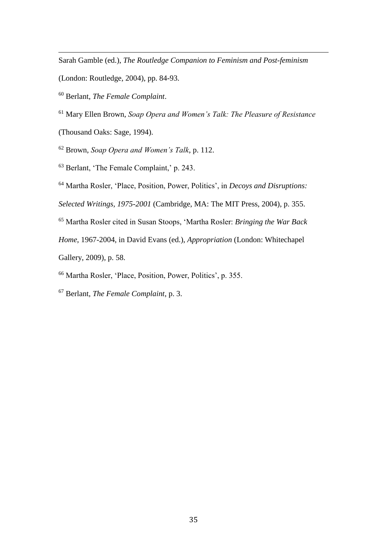Sarah Gamble (ed.), *The Routledge Companion to Feminism and Post-feminism*

(London: Routledge, 2004), pp. 84-93.

<sup>60</sup> Berlant, *The Female Complaint*.

 $\overline{a}$ 

<sup>61</sup> Mary Ellen Brown, *Soap Opera and Women's Talk: The Pleasure of Resistance*

(Thousand Oaks: Sage, 1994).

<sup>62</sup> Brown, *Soap Opera and Women's Talk*, p. 112.

<sup>63</sup> Berlant, 'The Female Complaint,' p. 243.

<sup>64</sup> Martha Rosler, 'Place, Position, Power, Politics', in *Decoys and Disruptions:* 

*Selected Writings, 1975-2001* (Cambridge, MA: The MIT Press, 2004), p. 355.

<sup>65</sup> Martha Rosler cited in Susan Stoops, 'Martha Rosler: *Bringing the War Back* 

*Home*, 1967-2004, in David Evans (ed.), *Appropriation* (London: Whitechapel

Gallery, 2009), p. 58.

<sup>66</sup> Martha Rosler, 'Place, Position, Power, Politics', p. 355.

<sup>67</sup> Berlant, *The Female Complaint*, p. 3.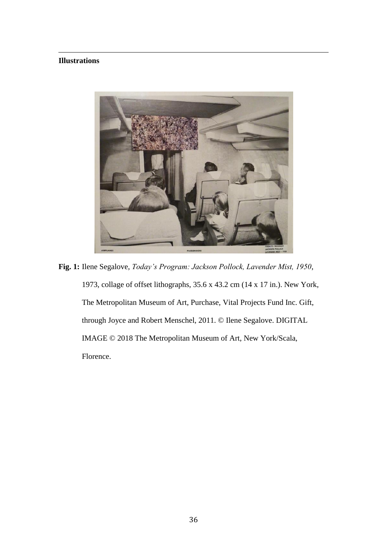## **Illustrations**

 $\overline{a}$ 



**Fig. 1:** Ilene Segalove, *Today's Program: Jackson Pollock, Lavender Mist, 1950*, 1973, collage of offset lithographs, 35.6 x 43.2 cm (14 x 17 in.). New York, The Metropolitan Museum of Art, Purchase, Vital Projects Fund Inc. Gift, through Joyce and Robert Menschel, 2011. © Ilene Segalove. DIGITAL IMAGE © 2018 The Metropolitan Museum of Art, New York/Scala, Florence.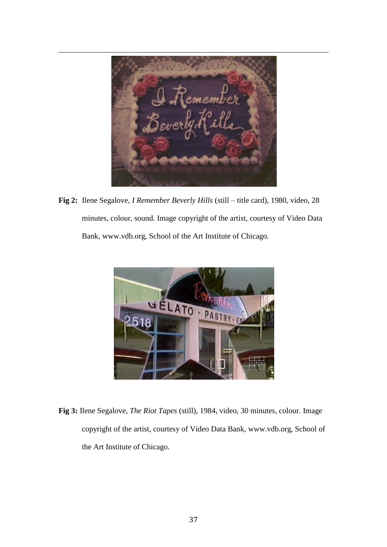member

**Fig 2:** Ilene Segalove, *I Remember Beverly Hills* (still – title card), 1980, video, 28 minutes, colour, sound. Image copyright of the artist, courtesy of Video Data Bank, www.vdb.org, School of the Art Institute of Chicago.



**Fig 3:** Ilene Segalove, *The Riot Tapes* (still), 1984, video, 30 minutes, colour. Image copyright of the artist, courtesy of Video Data Bank, www.vdb.org, School of the Art Institute of Chicago.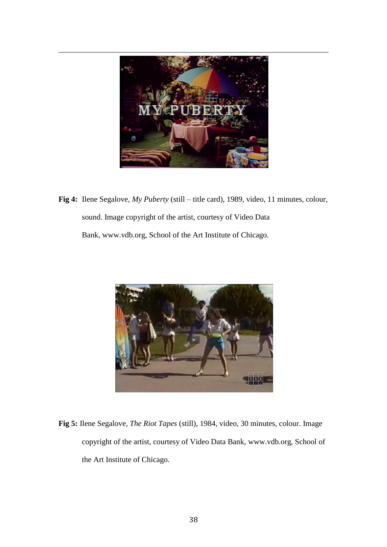

**Fig 4:** Ilene Segalove, *My Puberty* (still – title card), 1989, video, 11 minutes, colour, sound. Image copyright of the artist, courtesy of Video Data Bank, www.vdb.org, School of the Art Institute of Chicago.



**Fig 5:** Ilene Segalove, *The Riot Tapes* (still), 1984, video, 30 minutes, colour. Image copyright of the artist, courtesy of Video Data Bank, www.vdb.org, School of the Art Institute of Chicago.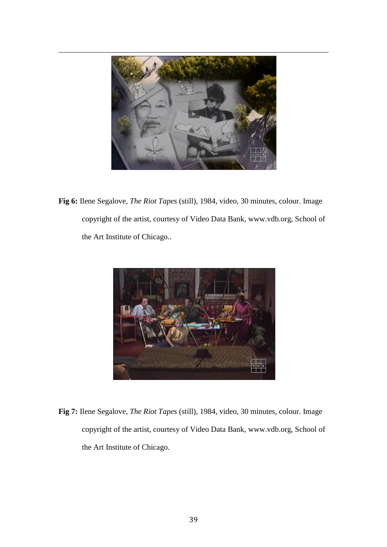

**Fig 6:** Ilene Segalove, *The Riot Tapes* (still), 1984, video, 30 minutes, colour. Image copyright of the artist, courtesy of Video Data Bank, www.vdb.org, School of the Art Institute of Chicago..



**Fig 7:** Ilene Segalove, *The Riot Tapes* (still), 1984, video, 30 minutes, colour. Image copyright of the artist, courtesy of Video Data Bank, www.vdb.org, School of the Art Institute of Chicago.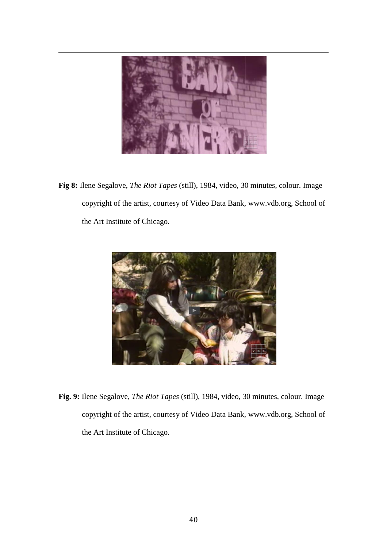

**Fig 8:** Ilene Segalove, *The Riot Tapes* (still), 1984, video, 30 minutes, colour. Image copyright of the artist, courtesy of Video Data Bank, www.vdb.org, School of the Art Institute of Chicago.



**Fig. 9:** Ilene Segalove, *The Riot Tapes* (still), 1984, video, 30 minutes, colour. Image copyright of the artist, courtesy of Video Data Bank, www.vdb.org, School of the Art Institute of Chicago.